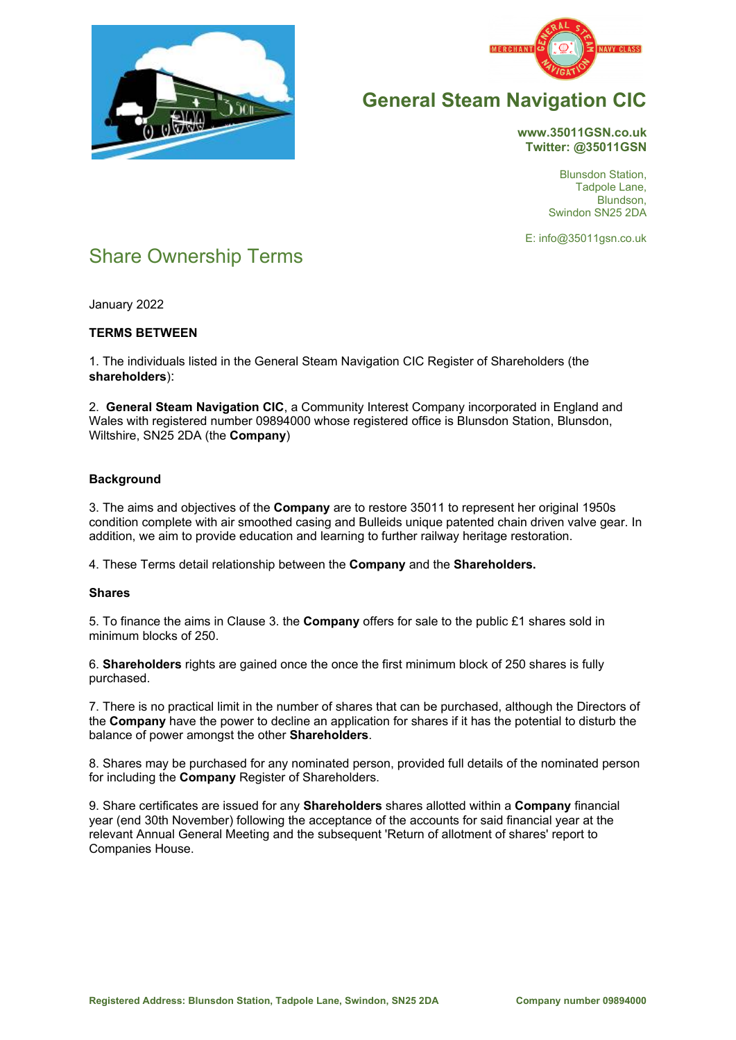



# **General Steam Navigation CIC**

**www.35011GSN.co.uk Twitter: @35011GSN** 

> Blunsdon Station, Tadpole Lane, Blundson, Swindon SN25 2DA

E: info@35011gsn.co.uk

# Share Ownership Terms

January 2022

# **TERMS BETWEEN**

1. The individuals listed in the General Steam Navigation CIC Register of Shareholders (the **shareholders**):

2. **General Steam Navigation CIC**, a Community Interest Company incorporated in England and Wales with registered number 09894000 whose registered office is Blunsdon Station, Blunsdon, Wiltshire, SN25 2DA (the **Company**)

# **Background**

3. The aims and objectives of the **Company** are to restore 35011 to represent her original 1950s condition complete with air smoothed casing and Bulleids unique patented chain driven valve gear. In addition, we aim to provide education and learning to further railway heritage restoration.

4. These Terms detail relationship between the **Company** and the **Shareholders.**

## **Shares**

5. To finance the aims in Clause 3. the **Company** offers for sale to the public £1 shares sold in minimum blocks of 250.

6. **Shareholders** rights are gained once the once the first minimum block of 250 shares is fully purchased.

7. There is no practical limit in the number of shares that can be purchased, although the Directors of the **Company** have the power to decline an application for shares if it has the potential to disturb the balance of power amongst the other **Shareholders**.

8. Shares may be purchased for any nominated person, provided full details of the nominated person for including the **Company** Register of Shareholders.

9. Share certificates are issued for any **Shareholders** shares allotted within a **Company** financial year (end 30th November) following the acceptance of the accounts for said financial year at the relevant Annual General Meeting and the subsequent 'Return of allotment of shares' report to Companies House.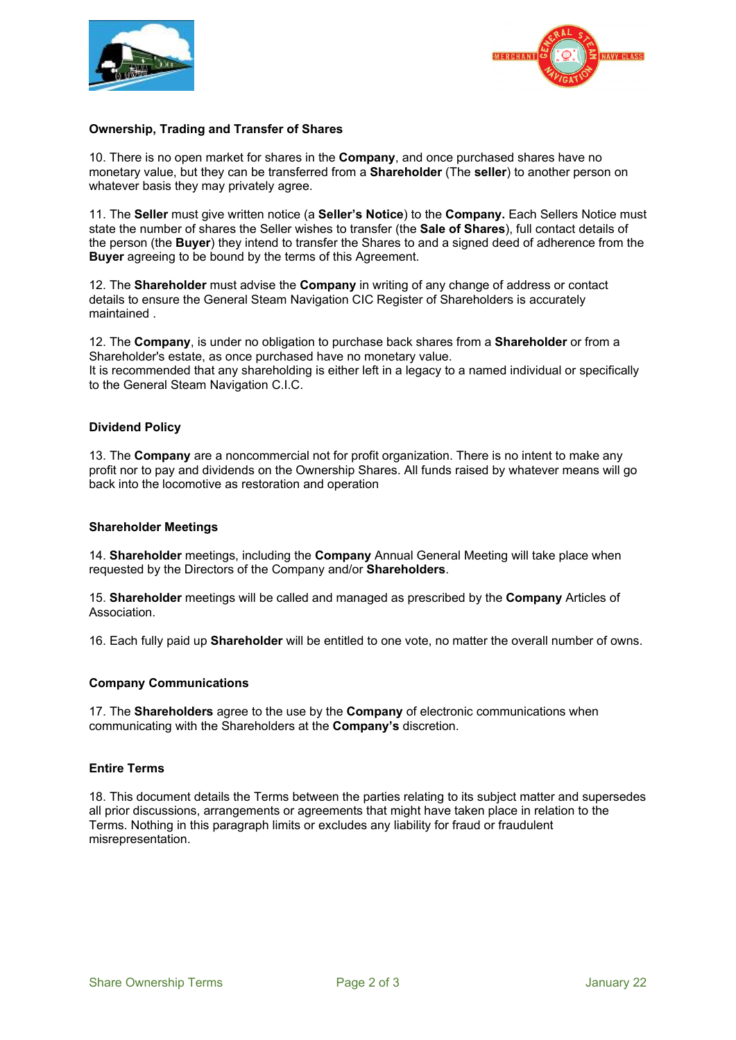



### **Ownership, Trading and Transfer of Shares**

10. There is no open market for shares in the **Company**, and once purchased shares have no monetary value, but they can be transferred from a **Shareholder** (The **seller**) to another person on whatever basis they may privately agree.

11. The **Seller** must give written notice (a **Seller's Notice**) to the **Company.** Each Sellers Notice must state the number of shares the Seller wishes to transfer (the **Sale of Shares**), full contact details of the person (the **Buyer**) they intend to transfer the Shares to and a signed deed of adherence from the **Buyer** agreeing to be bound by the terms of this Agreement.

12. The **Shareholder** must advise the **Company** in writing of any change of address or contact details to ensure the General Steam Navigation CIC Register of Shareholders is accurately maintained .

12. The **Company**, is under no obligation to purchase back shares from a **Shareholder** or from a Shareholder's estate, as once purchased have no monetary value. It is recommended that any shareholding is either left in a legacy to a named individual or specifically to the General Steam Navigation C.I.C.

#### **Dividend Policy**

13. The **Company** are a noncommercial not for profit organization. There is no intent to make any profit nor to pay and dividends on the Ownership Shares. All funds raised by whatever means will go back into the locomotive as restoration and operation

#### **Shareholder Meetings**

14. **Shareholder** meetings, including the **Company** Annual General Meeting will take place when requested by the Directors of the Company and/or **Shareholders**.

15. **Shareholder** meetings will be called and managed as prescribed by the **Company** Articles of Association.

16. Each fully paid up **Shareholder** will be entitled to one vote, no matter the overall number of owns.

#### **Company Communications**

17. The **Shareholders** agree to the use by the **Company** of electronic communications when communicating with the Shareholders at the **Company's** discretion.

#### **Entire Terms**

18. This document details the Terms between the parties relating to its subject matter and supersedes all prior discussions, arrangements or agreements that might have taken place in relation to the Terms. Nothing in this paragraph limits or excludes any liability for fraud or fraudulent misrepresentation.